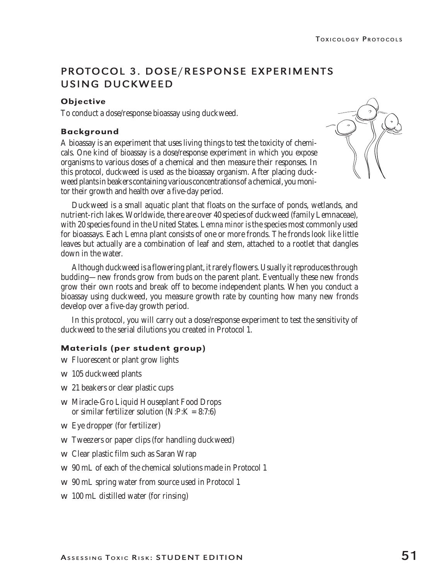# PROTOCOL 3. DOSE/RESPONSE EXPERIMENTS USING DUCKWEED

# **Objective**

To conduct a dose/response bioassay using duckweed.

## Background

A bioassay is an experiment that uses living things to test the toxicity of chemicals. One kind of bioassay is a dose/response experiment in which you expose organisms to various doses of a chemical and then measure their responses. In this protocol, duckweed is used as the bioassay organism. After placing duckweed plants in beakers containing various concentrations of a chemical, you monitor their growth and health over a five-day period.



Duckweed is a small aquatic plant that floats on the surface of ponds, wetlands, and nutrient-rich lakes. Worldwide, there are over 40 species of duckweed (family Lemnaceae), with 20 species found in the United States. *Lemna minor* is the species most commonly used for bioassays. Each *Lemna* plant consists of one or more fronds. The fronds look like little leaves but actually are a combination of leaf and stem, attached to a rootlet that dangles down in the water.

Although duckweed is a flowering plant, it rarely flowers. Usually it reproduces through budding—new fronds grow from buds on the parent plant. Eventually these new fronds grow their own roots and break off to become independent plants. When you conduct a bioassay using duckweed, you measure growth rate by counting how many new fronds develop over a five-day growth period.

In this protocol, you will carry out a dose/response experiment to test the sensitivity of duckweed to the serial dilutions you created in Protocol 1.

## Materials (per student group)

Fluorescent or plant grow lights

105 duckweed plants

21 beakers or clear plastic cups

Miracle-Gro Liquid Houseplant Food Drops or similar fertilizer solution  $(N:P:K = 8:7:6)$ 

Eye dropper (for fertilizer)

Tweezers or paper clips (for handling duckweed)

Clear plastic film such as Saran Wrap

90 mL of each of the chemical solutions made in Protocol 1

90 mL spring water from source used in Protocol 1

100 mL distilled water (for rinsing)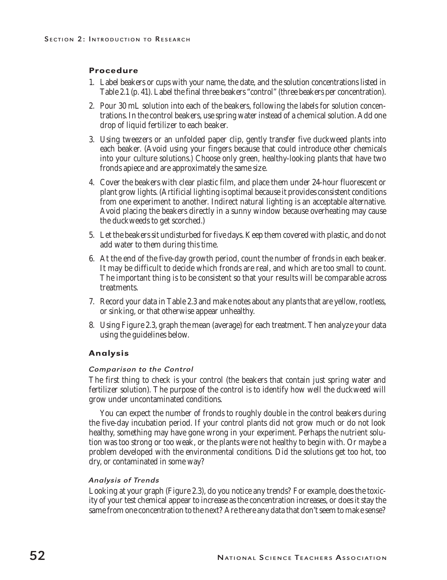## Procedure

- 1. Label beakers or cups with your name, the date, and the solution concentrations listed in Table 2.1 (p. 41). Label the final three beakers "control" (three beakers per concentration).
- 2. Pour 30 mL solution into each of the beakers, following the labels for solution concentrations. In the control beakers, use spring water instead of a chemical solution. Add one drop of liquid fertilizer to each beaker.
- 3. Using tweezers or an unfolded paper clip, gently transfer five duckweed plants into each beaker. (Avoid using your fingers because that could introduce other chemicals into your culture solutions.) Choose only green, healthy-looking plants that have two fronds apiece and are approximately the same size.
- 4. Cover the beakers with clear plastic film, and place them under 24-hour fluorescent or plant grow lights. (Artificial lighting is optimal because it provides consistent conditions from one experiment to another. Indirect natural lighting is an acceptable alternative. Avoid placing the beakers directly in a sunny window because overheating may cause the duckweeds to get scorched.)
- 5. Let the beakers sit undisturbed for five days. Keep them covered with plastic, and do not add water to them during this time.
- 6. At the end of the five-day growth period, count the number of fronds in each beaker. It may be difficult to decide which fronds are real, and which are too small to count. The important thing is to be consistent so that your results will be comparable across treatments.
- 7. Record your data in Table 2.3 and make notes about any plants that are yellow, rootless, or sinking, or that otherwise appear unhealthy.
- 8. Using Figure 2.3, graph the mean (average) for each treatment. Then analyze your data using the guidelines below.

# Analysis

## Comparison to the Control

The first thing to check is your control (the beakers that contain just spring water and fertilizer solution). The purpose of the control is to identify how well the duckweed will grow under uncontaminated conditions.

You can expect the number of fronds to roughly double in the control beakers during the five-day incubation period. If your control plants did not grow much or do not look healthy, something may have gone wrong in your experiment. Perhaps the nutrient solution was too strong or too weak, or the plants were not healthy to begin with. Or maybe a problem developed with the environmental conditions. Did the solutions get too hot, too dry, or contaminated in some way?

## Analysis of Trends

Looking at your graph (Figure 2.3), do you notice any trends? For example, does the toxicity of your test chemical appear to increase as the concentration increases, or does it stay the same from one concentration to the next? Are there any data that don't seem to make sense?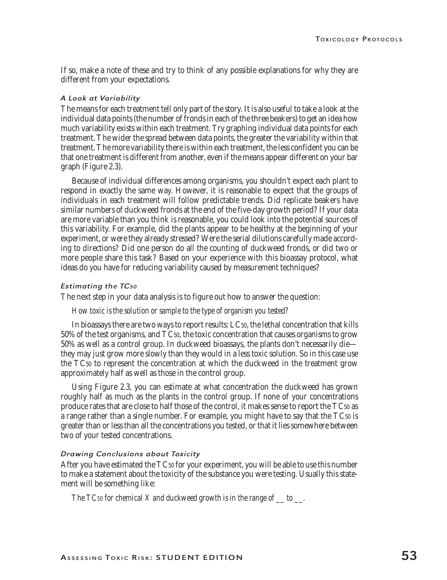If so, make a note of these and try to think of any possible explanations for why they are different from your expectations.

#### A Look at Variability

The means for each treatment tell only part of the story. It is also useful to take a look at the individual data points (the number of fronds in each of the three beakers) to get an idea how much variability exists within each treatment. Try graphing individual data points for each treatment. The wider the spread between data points, the greater the variability within that treatment. The more variability there is within each treatment, the less confident you can be that one treatment is different from another, even if the means appear different on your bar graph (Figure 2.3).

Because of individual differences among organisms, you shouldn't expect each plant to respond in exactly the same way. However, it is reasonable to expect that the groups of individuals in each treatment will follow predictable trends. Did replicate beakers have similar numbers of duckweed fronds at the end of the five-day growth period? If your data are more variable than you think is reasonable, you could look into the potential sources of this variability. For example, did the plants appear to be healthy at the beginning of your experiment, or were they already stressed? Were the serial dilutions carefully made according to directions? Did one person do all the counting of duckweed fronds, or did two or more people share this task? Based on your experience with this bioassay protocol, what ideas do you have for reducing variability caused by measurement techniques?

#### Estimating the TC50

The next step in your data analysis is to figure out how to answer the question:

#### *How toxic is the solution or sample to the type of organism you tested?*

In bioassays there are two ways to report results: LC50, the lethal concentration that kills 50% of the test organisms, and TC50, the toxic concentration that causes organisms to grow 50% as well as a control group. In duckweed bioassays, the plants don't necessarily die they may just grow more slowly than they would in a less toxic solution. So in this case use the TC50 to represent the concentration at which the duckweed in the treatment grow approximately half as well as those in the control group.

Using Figure 2.3, you can estimate at what concentration the duckweed has grown roughly half as much as the plants in the control group. If none of your concentrations produce rates that are close to half those of the control, it makes sense to report the TC50 as a range rather than a single number. For example, you might have to say that the TC50 is greater than or less than all the concentrations you tested, or that it lies somewhere between two of your tested concentrations.

#### Drawing Conclusions about Toxicity

After you have estimated the TC50 for your experiment, you will be able to use this number to make a statement about the toxicity of the substance you were testing. Usually this statement will be something like:

*The TC50 for chemical X and duckweed growth is in the range of \_\_ to \_\_.*